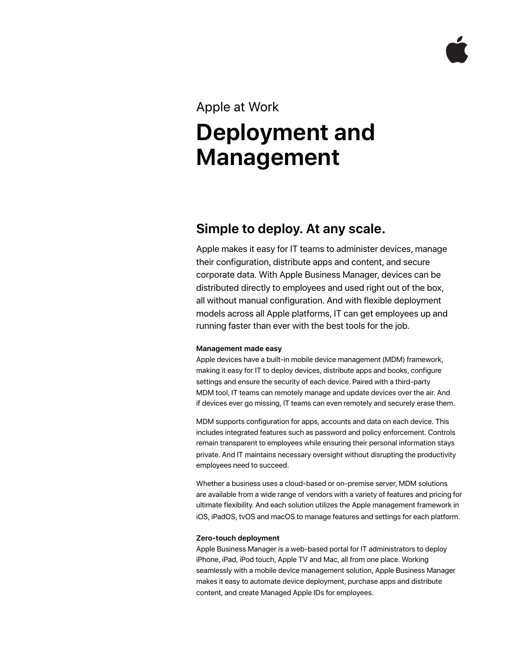### Apple at Work

# **Deployment and Management**

## **Simple to deploy. At any scale.**

Apple makes it easy for IT teams to administer devices, manage their configuration, distribute apps and content, and secure corporate data. With Apple Business Manager, devices can be distributed directly to employees and used right out of the box, all without manual configuration. And with flexible deployment models across all Apple platforms, IT can get employees up and running faster than ever with the best tools for the job.

#### **Management made easy**

Apple devices have a built-in mobile device management (MDM) framework, making it easy for IT to deploy devices, distribute apps and books, configure settings and ensure the security of each device. Paired with a third-party MDM tool, IT teams can remotely manage and update devices over the air. And if devices ever go missing, IT teams can even remotely and securely erase them.

MDM supports configuration for apps, accounts and data on each device. This includes integrated features such as password and policy enforcement. Controls remain transparent to employees while ensuring their personal information stays private. And IT maintains necessary oversight without disrupting the productivity employees need to succeed.

Whether a business uses a cloud-based or on-premise server, MDM solutions are available from a wide range of vendors with a variety of features and pricing for ultimate flexibility. And each solution utilizes the Apple management framework in iOS, iPadOS, tvOS and macOS to manage features and settings for each platform.

#### **Zero-touch deployment**

Apple Business Manager is a web-based portal for IT administrators to deploy iPhone, iPad, iPod touch, Apple TV and Mac, all from one place. Working seamlessly with a mobile device management solution, Apple Business Manager makes it easy to automate device deployment, purchase apps and distribute content, and create Managed Apple IDs for employees.